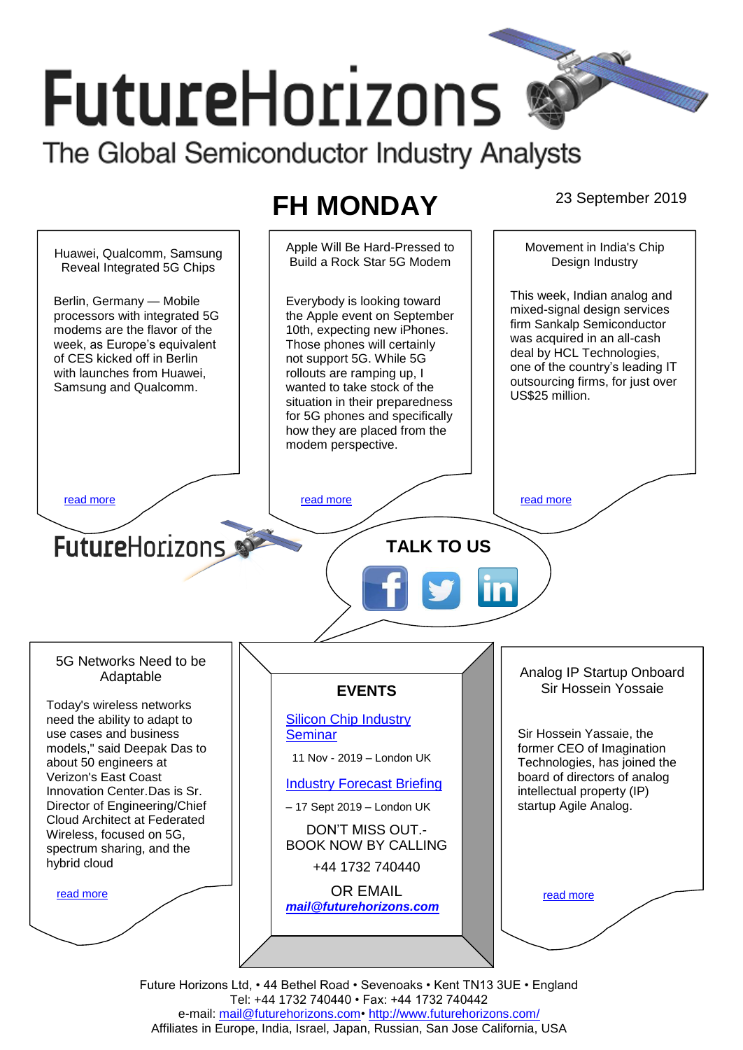# **FutureHorizons** The Global Semiconductor Industry Analysts

# **FH MONDAY** 23 September 2019



Tel: +44 1732 740440 • Fax: +44 1732 740442 e-mail: mail@futurehorizons.com• http://www.futurehorizons.com/ Affiliates in Europe, India, Israel, Japan, Russian, San Jose California, USA